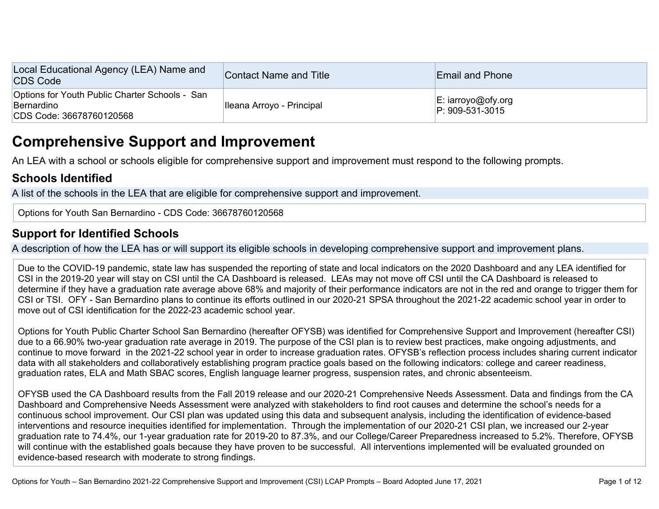| Local Educational Agency (LEA) Name and<br><b>CDS Code</b>                               | Contact Name and Title    | <b>Email and Phone</b>                           |
|------------------------------------------------------------------------------------------|---------------------------|--------------------------------------------------|
| Options for Youth Public Charter Schools - San<br>Bernardino<br>CDS Code: 36678760120568 | Ileana Arroyo - Principal | $\mathsf{E}:$ iarroyo@ofy.org<br>P: 909-531-3015 |

# **Comprehensive Support and Improvement**

An LEA with a school or schools eligible for comprehensive support and improvement must respond to the following prompts.

## **Schools Identified**

A list of the schools in the LEA that are eligible for comprehensive support and improvement.

Options for Youth San Bernardino - CDS Code: 36678760120568

# **Support for Identified Schools**

A description of how the LEA has or will support its eligible schools in developing comprehensive support and improvement plans.

Due to the COVID-19 pandemic, state law has suspended the reporting of state and local indicators on the 2020 Dashboard and any LEA identified for CSI in the 2019-20 year will stay on CSI until the CA Dashboard is released. LEAs may not move off CSI until the CA Dashboard is released to determine if they have a graduation rate average above 68% and majority of their performance indicators are not in the red and orange to trigger them for CSI or TSI. OFY - San Bernardino plans to continue its efforts outlined in our 2020-21 SPSA throughout the 2021-22 academic school year in order to move out of CSI identification for the 2022-23 academic school year.

Options for Youth Public Charter School San Bernardino (hereafter OFYSB) was identified for Comprehensive Support and Improvement (hereafter CSI) due to a 66.90% two-year graduation rate average in 2019. The purpose of the CSI plan is to review best practices, make ongoing adjustments, and continue to move forward in the 2021-22 school year in order to increase graduation rates. OFYSB's reflection process includes sharing current indicator data with all stakeholders and collaboratively establishing program practice goals based on the following indicators: college and career readiness, graduation rates, ELA and Math SBAC scores, English language learner progress, suspension rates, and chronic absenteeism.

OFYSB used the CA Dashboard results from the Fall 2019 release and our 2020-21 Comprehensive Needs Assessment. Data and findings from the CA Dashboard and Comprehensive Needs Assessment were analyzed with stakeholders to find root causes and determine the school's needs for a continuous school improvement. Our CSI plan was updated using this data and subsequent analysis, including the identification of evidence-based interventions and resource inequities identified for implementation. Through the implementation of our 2020-21 CSI plan, we increased our 2-year graduation rate to 74.4%, our 1-year graduation rate for 2019-20 to 87.3%, and our College/Career Preparedness increased to 5.2%. Therefore, OFYSB will continue with the established goals because they have proven to be successful. All interventions implemented will be evaluated grounded on evidence-based research with moderate to strong findings.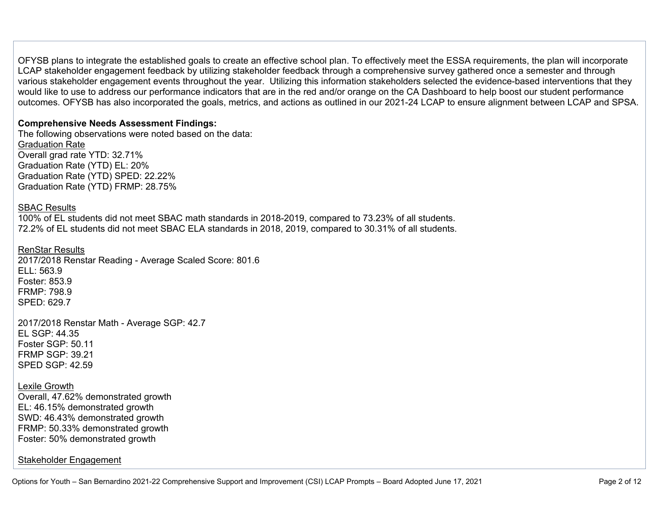OFYSB plans to integrate the established goals to create an effective school plan. To effectively meet the ESSA requirements, the plan will incorporate LCAP stakeholder engagement feedback by utilizing stakeholder feedback through a comprehensive survey gathered once a semester and through various stakeholder engagement events throughout the year. Utilizing this information stakeholders selected the evidence-based interventions that they would like to use to address our performance indicators that are in the red and/or orange on the CA Dashboard to help boost our student performance outcomes. OFYSB has also incorporated the goals, metrics, and actions as outlined in our 2021-24 LCAP to ensure alignment between LCAP and SPSA.

#### **Comprehensive Needs Assessment Findings:**

The following observations were noted based on the data: Graduation Rate Overall grad rate YTD: 32.71% Graduation Rate (YTD) EL: 20% Graduation Rate (YTD) SPED: 22.22% Graduation Rate (YTD) FRMP: 28.75%

#### SBAC Results

100% of EL students did not meet SBAC math standards in 2018-2019, compared to 73.23% of all students. 72.2% of EL students did not meet SBAC ELA standards in 2018, 2019, compared to 30.31% of all students.

#### RenStar Results

2017/2018 Renstar Reading - Average Scaled Score: 801.6  $F11: 563.9$ Foster: 853.9 FRMP: 798.9 SPED: 629.7

2017/2018 Renstar Math - Average SGP: 42.7 EL SGP: 44.35 Foster SGP: 50.11 FRMP SGP: 39.21 SPED SGP: 42.59

#### Lexile Growth

Overall, 47.62% demonstrated growth EL: 46.15% demonstrated growth SWD: 46.43% demonstrated growth FRMP: 50.33% demonstrated growth Foster: 50% demonstrated growth

#### Stakeholder Engagement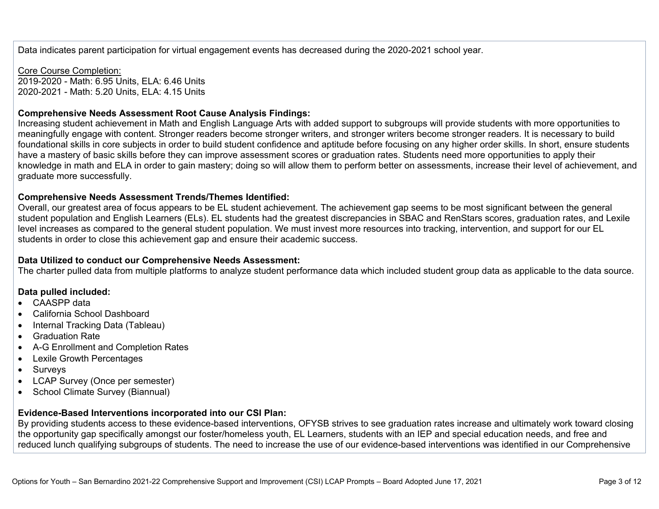Data indicates parent participation for virtual engagement events has decreased during the 2020-2021 school year.

Core Course Completion: 2019-2020 - Math: 6.95 Units, ELA: 6.46 Units 2020-2021 - Math: 5.20 Units, ELA: 4.15 Units

#### **Comprehensive Needs Assessment Root Cause Analysis Findings:**

Increasing student achievement in Math and English Language Arts with added support to subgroups will provide students with more opportunities to meaningfully engage with content. Stronger readers become stronger writers, and stronger writers become stronger readers. It is necessary to build foundational skills in core subjects in order to build student confidence and aptitude before focusing on any higher order skills. In short, ensure students have a mastery of basic skills before they can improve assessment scores or graduation rates. Students need more opportunities to apply their knowledge in math and ELA in order to gain mastery; doing so will allow them to perform better on assessments, increase their level of achievement, and graduate more successfully.

#### **Comprehensive Needs Assessment Trends/Themes Identified:**

Overall, our greatest area of focus appears to be EL student achievement. The achievement gap seems to be most significant between the general student population and English Learners (ELs). EL students had the greatest discrepancies in SBAC and RenStars scores, graduation rates, and Lexile level increases as compared to the general student population. We must invest more resources into tracking, intervention, and support for our EL students in order to close this achievement gap and ensure their academic success.

#### **Data Utilized to conduct our Comprehensive Needs Assessment:**

The charter pulled data from multiple platforms to analyze student performance data which included student group data as applicable to the data source.

#### **Data pulled included:**

- CAASPP data
- California School Dashboard
- Internal Tracking Data (Tableau)
- Graduation Rate
- A-G Enrollment and Completion Rates
- Lexile Growth Percentages
- Surveys
- LCAP Survey (Once per semester)
- School Climate Survey (Biannual)

#### **Evidence-Based Interventions incorporated into our CSI Plan:**

By providing students access to these evidence-based interventions, OFYSB strives to see graduation rates increase and ultimately work toward closing the opportunity gap specifically amongst our foster/homeless youth, EL Learners, students with an IEP and special education needs, and free and reduced lunch qualifying subgroups of students. The need to increase the use of our evidence-based interventions was identified in our Comprehensive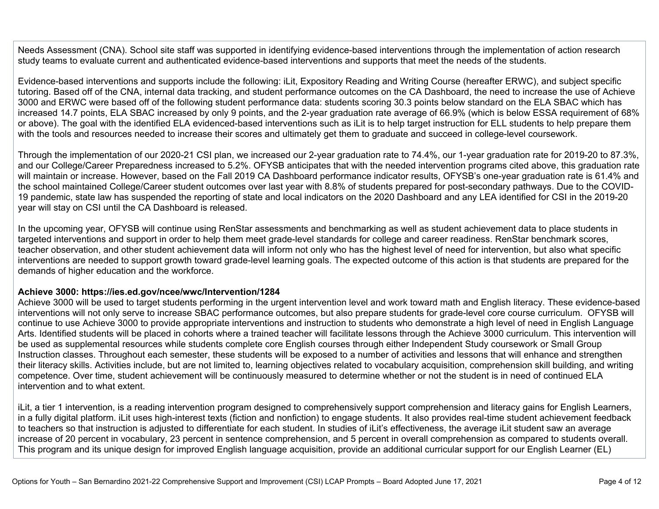Needs Assessment (CNA). School site staff was supported in identifying evidence-based interventions through the implementation of action research study teams to evaluate current and authenticated evidence-based interventions and supports that meet the needs of the students.

Evidence-based interventions and supports include the following: iLit, Expository Reading and Writing Course (hereafter ERWC), and subject specific tutoring. Based off of the CNA, internal data tracking, and student performance outcomes on the CA Dashboard, the need to increase the use of Achieve 3000 and ERWC were based off of the following student performance data: students scoring 30.3 points below standard on the ELA SBAC which has increased 14.7 points, ELA SBAC increased by only 9 points, and the 2-year graduation rate average of 66.9% (which is below ESSA requirement of 68% or above). The goal with the identified ELA evidenced-based interventions such as iLit is to help target instruction for ELL students to help prepare them with the tools and resources needed to increase their scores and ultimately get them to graduate and succeed in college-level coursework.

Through the implementation of our 2020-21 CSI plan, we increased our 2-year graduation rate to 74.4%, our 1-year graduation rate for 2019-20 to 87.3%, and our College/Career Preparedness increased to 5.2%. OFYSB anticipates that with the needed intervention programs cited above, this graduation rate will maintain or increase. However, based on the Fall 2019 CA Dashboard performance indicator results, OFYSB's one-year graduation rate is 61.4% and the school maintained College/Career student outcomes over last year with 8.8% of students prepared for post-secondary pathways. Due to the COVID-19 pandemic, state law has suspended the reporting of state and local indicators on the 2020 Dashboard and any LEA identified for CSI in the 2019-20 year will stay on CSI until the CA Dashboard is released.

In the upcoming year, OFYSB will continue using RenStar assessments and benchmarking as well as student achievement data to place students in targeted interventions and support in order to help them meet grade-level standards for college and career readiness. RenStar benchmark scores, teacher observation, and other student achievement data will inform not only who has the highest level of need for intervention, but also what specific interventions are needed to support growth toward grade-level learning goals. The expected outcome of this action is that students are prepared for the demands of higher education and the workforce.

#### **Achieve 3000: https://ies.ed.gov/ncee/wwc/Intervention/1284**

Achieve 3000 will be used to target students performing in the urgent intervention level and work toward math and English literacy. These evidence-based interventions will not only serve to increase SBAC performance outcomes, but also prepare students for grade-level core course curriculum. OFYSB will continue to use Achieve 3000 to provide appropriate interventions and instruction to students who demonstrate a high level of need in English Language Arts. Identified students will be placed in cohorts where a trained teacher will facilitate lessons through the Achieve 3000 curriculum. This intervention will be used as supplemental resources while students complete core English courses through either Independent Study coursework or Small Group Instruction classes. Throughout each semester, these students will be exposed to a number of activities and lessons that will enhance and strengthen their literacy skills. Activities include, but are not limited to, learning objectives related to vocabulary acquisition, comprehension skill building, and writing competence. Over time, student achievement will be continuously measured to determine whether or not the student is in need of continued ELA intervention and to what extent.

iLit, a tier 1 intervention, is a reading intervention program designed to comprehensively support comprehension and literacy gains for English Learners, in a fully digital platform. iLit uses high-interest texts (fiction and nonfiction) to engage students. It also provides real-time student achievement feedback to teachers so that instruction is adjusted to differentiate for each student. In studies of iLit's effectiveness, the average iLit student saw an average increase of 20 percent in vocabulary, 23 percent in sentence comprehension, and 5 percent in overall comprehension as compared to students overall. This program and its unique design for improved English language acquisition, provide an additional curricular support for our English Learner (EL)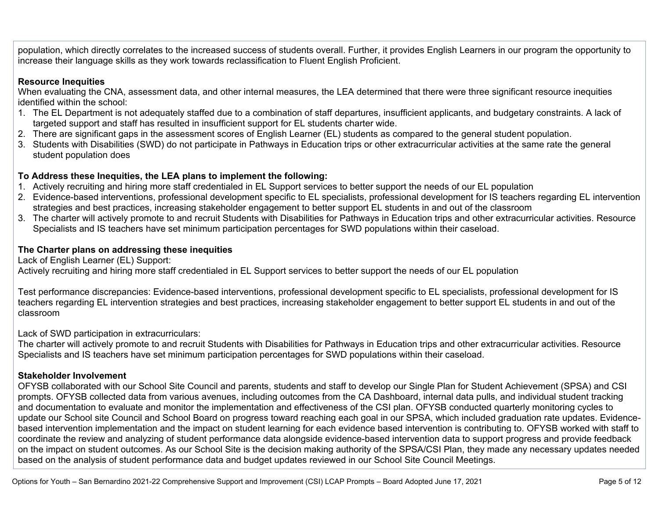population, which directly correlates to the increased success of students overall. Further, it provides English Learners in our program the opportunity to increase their language skills as they work towards reclassification to Fluent English Proficient.

#### **Resource Inequities**

When evaluating the CNA, assessment data, and other internal measures, the LEA determined that there were three significant resource inequities identified within the school:

- 1. The EL Department is not adequately staffed due to a combination of staff departures, insufficient applicants, and budgetary constraints. A lack of targeted support and staff has resulted in insufficient support for EL students charter wide.
- 2. There are significant gaps in the assessment scores of English Learner (EL) students as compared to the general student population.
- 3. Students with Disabilities (SWD) do not participate in Pathways in Education trips or other extracurricular activities at the same rate the general student population does

### **To Address these Inequities, the LEA plans to implement the following:**

- 1. Actively recruiting and hiring more staff credentialed in EL Support services to better support the needs of our EL population
- 2. Evidence-based interventions, professional development specific to EL specialists, professional development for IS teachers regarding EL intervention strategies and best practices, increasing stakeholder engagement to better support EL students in and out of the classroom
- 3. The charter will actively promote to and recruit Students with Disabilities for Pathways in Education trips and other extracurricular activities. Resource Specialists and IS teachers have set minimum participation percentages for SWD populations within their caseload.

#### **The Charter plans on addressing these inequities**

Lack of English Learner (EL) Support:

Actively recruiting and hiring more staff credentialed in EL Support services to better support the needs of our EL population

Test performance discrepancies: Evidence-based interventions, professional development specific to EL specialists, professional development for IS teachers regarding EL intervention strategies and best practices, increasing stakeholder engagement to better support EL students in and out of the classroom

Lack of SWD participation in extracurriculars:

The charter will actively promote to and recruit Students with Disabilities for Pathways in Education trips and other extracurricular activities. Resource Specialists and IS teachers have set minimum participation percentages for SWD populations within their caseload.

#### **Stakeholder Involvement**

OFYSB collaborated with our School Site Council and parents, students and staff to develop our Single Plan for Student Achievement (SPSA) and CSI prompts. OFYSB collected data from various avenues, including outcomes from the CA Dashboard, internal data pulls, and individual student tracking and documentation to evaluate and monitor the implementation and effectiveness of the CSI plan. OFYSB conducted quarterly monitoring cycles to update our School site Council and School Board on progress toward reaching each goal in our SPSA, which included graduation rate updates. Evidencebased intervention implementation and the impact on student learning for each evidence based intervention is contributing to. OFYSB worked with staff to coordinate the review and analyzing of student performance data alongside evidence-based intervention data to support progress and provide feedback on the impact on student outcomes. As our School Site is the decision making authority of the SPSA/CSI Plan, they made any necessary updates needed based on the analysis of student performance data and budget updates reviewed in our School Site Council Meetings.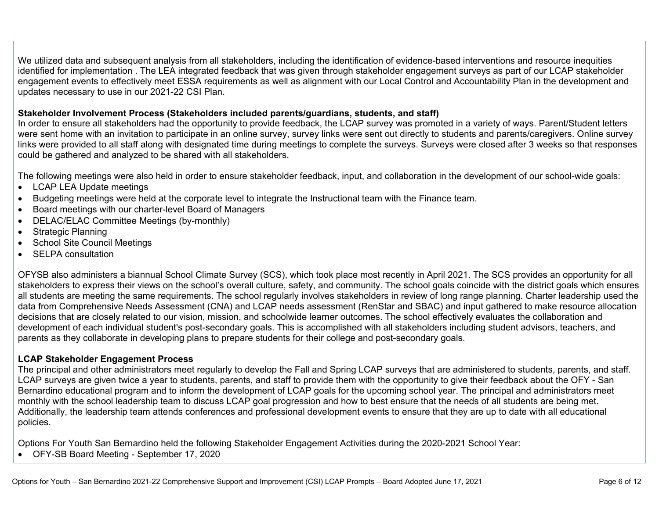We utilized data and subsequent analysis from all stakeholders, including the identification of evidence-based interventions and resource inequities identified for implementation . The LEA integrated feedback that was given through stakeholder engagement surveys as part of our LCAP stakeholder engagement events to effectively meet ESSA requirements as well as alignment with our Local Control and Accountability Plan in the development and updates necessary to use in our 2021-22 CSI Plan.

#### **Stakeholder Involvement Process (Stakeholders included parents/guardians, students, and staff)**

In order to ensure all stakeholders had the opportunity to provide feedback, the LCAP survey was promoted in a variety of ways. Parent/Student letters were sent home with an invitation to participate in an online survey, survey links were sent out directly to students and parents/caregivers. Online survey links were provided to all staff along with designated time during meetings to complete the surveys. Surveys were closed after 3 weeks so that responses could be gathered and analyzed to be shared with all stakeholders.

The following meetings were also held in order to ensure stakeholder feedback, input, and collaboration in the development of our school-wide goals:

- LCAP LEA Update meetings
- Budgeting meetings were held at the corporate level to integrate the Instructional team with the Finance team.
- Board meetings with our charter-level Board of Managers
- DELAC/ELAC Committee Meetings (by-monthly)
- Strategic Planning
- School Site Council Meetings
- SELPA consultation

OFYSB also administers a biannual School Climate Survey (SCS), which took place most recently in April 2021. The SCS provides an opportunity for all stakeholders to express their views on the school's overall culture, safety, and community. The school goals coincide with the district goals which ensures all students are meeting the same requirements. The school regularly involves stakeholders in review of long range planning. Charter leadership used the data from Comprehensive Needs Assessment (CNA) and LCAP needs assessment (RenStar and SBAC) and input gathered to make resource allocation decisions that are closely related to our vision, mission, and schoolwide learner outcomes. The school effectively evaluates the collaboration and development of each individual student's post-secondary goals. This is accomplished with all stakeholders including student advisors, teachers, and parents as they collaborate in developing plans to prepare students for their college and post-secondary goals.

#### **LCAP Stakeholder Engagement Process**

The principal and other administrators meet regularly to develop the Fall and Spring LCAP surveys that are administered to students, parents, and staff. LCAP surveys are given twice a year to students, parents, and staff to provide them with the opportunity to give their feedback about the OFY - San Bernardino educational program and to inform the development of LCAP goals for the upcoming school year. The principal and administrators meet monthly with the school leadership team to discuss LCAP goal progression and how to best ensure that the needs of all students are being met. Additionally, the leadership team attends conferences and professional development events to ensure that they are up to date with all educational policies.

Options For Youth San Bernardino held the following Stakeholder Engagement Activities during the 2020-2021 School Year:

• OFY-SB Board Meeting - September 17, 2020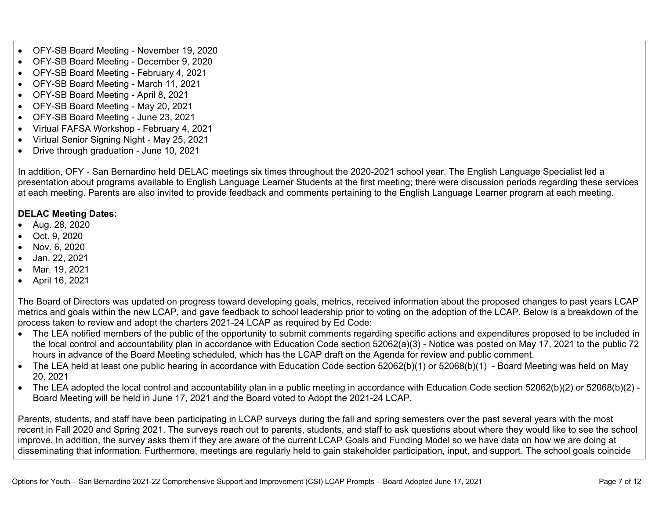- OFY-SB Board Meeting November 19, 2020
- OFY-SB Board Meeting December 9, 2020
- OFY-SB Board Meeting February 4, 2021
- OFY-SB Board Meeting March 11, 2021
- OFY-SB Board Meeting April 8, 2021
- OFY-SB Board Meeting May 20, 2021
- OFY-SB Board Meeting June 23, 2021
- Virtual FAFSA Workshop February 4, 2021
- Virtual Senior Signing Night May 25, 2021
- Drive through graduation June 10, 2021

In addition, OFY - San Bernardino held DELAC meetings six times throughout the 2020-2021 school year. The English Language Specialist led a presentation about programs available to English Language Learner Students at the first meeting; there were discussion periods regarding these services at each meeting. Parents are also invited to provide feedback and comments pertaining to the English Language Learner program at each meeting.

### **DELAC Meeting Dates:**

- Aug. 28, 2020
- Oct. 9, 2020
- Nov. 6, 2020
- Jan. 22, 2021
- Mar. 19, 2021
- April 16, 2021

The Board of Directors was updated on progress toward developing goals, metrics, received information about the proposed changes to past years LCAP metrics and goals within the new LCAP, and gave feedback to school leadership prior to voting on the adoption of the LCAP. Below is a breakdown of the process taken to review and adopt the charters 2021-24 LCAP as required by Ed Code:

- The LEA notified members of the public of the opportunity to submit comments regarding specific actions and expenditures proposed to be included in the local control and accountability plan in accordance with Education Code section 52062(a)(3) - Notice was posted on May 17, 2021 to the public 72 hours in advance of the Board Meeting scheduled, which has the LCAP draft on the Agenda for review and public comment.
- The LEA held at least one public hearing in accordance with Education Code section 52062(b)(1) or 52068(b)(1) Board Meeting was held on May 20, 2021
- The LEA adopted the local control and accountability plan in a public meeting in accordance with Education Code section 52062(b)(2) or 52068(b)(2) -Board Meeting will be held in June 17, 2021 and the Board voted to Adopt the 2021-24 LCAP.

Parents, students, and staff have been participating in LCAP surveys during the fall and spring semesters over the past several years with the most recent in Fall 2020 and Spring 2021. The surveys reach out to parents, students, and staff to ask questions about where they would like to see the school improve. In addition, the survey asks them if they are aware of the current LCAP Goals and Funding Model so we have data on how we are doing at disseminating that information. Furthermore, meetings are regularly held to gain stakeholder participation, input, and support. The school goals coincide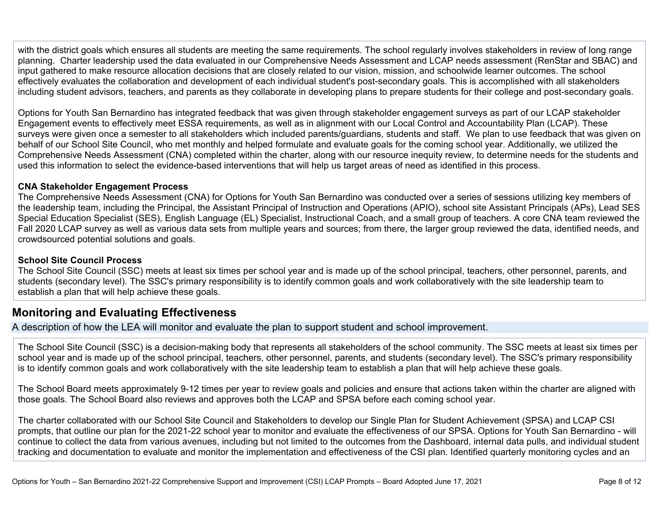with the district goals which ensures all students are meeting the same requirements. The school regularly involves stakeholders in review of long range planning. Charter leadership used the data evaluated in our Comprehensive Needs Assessment and LCAP needs assessment (RenStar and SBAC) and input gathered to make resource allocation decisions that are closely related to our vision, mission, and schoolwide learner outcomes. The school effectively evaluates the collaboration and development of each individual student's post-secondary goals. This is accomplished with all stakeholders including student advisors, teachers, and parents as they collaborate in developing plans to prepare students for their college and post-secondary goals.

Options for Youth San Bernardino has integrated feedback that was given through stakeholder engagement surveys as part of our LCAP stakeholder Engagement events to effectively meet ESSA requirements, as well as in alignment with our Local Control and Accountability Plan (LCAP). These surveys were given once a semester to all stakeholders which included parents/guardians, students and staff. We plan to use feedback that was given on behalf of our School Site Council, who met monthly and helped formulate and evaluate goals for the coming school year. Additionally, we utilized the Comprehensive Needs Assessment (CNA) completed within the charter, along with our resource inequity review, to determine needs for the students and used this information to select the evidence-based interventions that will help us target areas of need as identified in this process.

#### **CNA Stakeholder Engagement Process**

The Comprehensive Needs Assessment (CNA) for Options for Youth San Bernardino was conducted over a series of sessions utilizing key members of the leadership team, including the Principal, the Assistant Principal of Instruction and Operations (APIO), school site Assistant Principals (APs), Lead SES Special Education Specialist (SES), English Language (EL) Specialist, Instructional Coach, and a small group of teachers. A core CNA team reviewed the Fall 2020 LCAP survey as well as various data sets from multiple years and sources; from there, the larger group reviewed the data, identified needs, and crowdsourced potential solutions and goals.

#### **School Site Council Process**

The School Site Council (SSC) meets at least six times per school year and is made up of the school principal, teachers, other personnel, parents, and students (secondary level). The SSC's primary responsibility is to identify common goals and work collaboratively with the site leadership team to establish a plan that will help achieve these goals.

### **Monitoring and Evaluating Effectiveness**

A description of how the LEA will monitor and evaluate the plan to support student and school improvement.

The School Site Council (SSC) is a decision-making body that represents all stakeholders of the school community. The SSC meets at least six times per school year and is made up of the school principal, teachers, other personnel, parents, and students (secondary level). The SSC's primary responsibility is to identify common goals and work collaboratively with the site leadership team to establish a plan that will help achieve these goals.

The School Board meets approximately 9-12 times per year to review goals and policies and ensure that actions taken within the charter are aligned with those goals. The School Board also reviews and approves both the LCAP and SPSA before each coming school year.

The charter collaborated with our School Site Council and Stakeholders to develop our Single Plan for Student Achievement (SPSA) and LCAP CSI prompts, that outline our plan for the 2021-22 school year to monitor and evaluate the effectiveness of our SPSA. Options for Youth San Bernardino - will continue to collect the data from various avenues, including but not limited to the outcomes from the Dashboard, internal data pulls, and individual student tracking and documentation to evaluate and monitor the implementation and effectiveness of the CSI plan. Identified quarterly monitoring cycles and an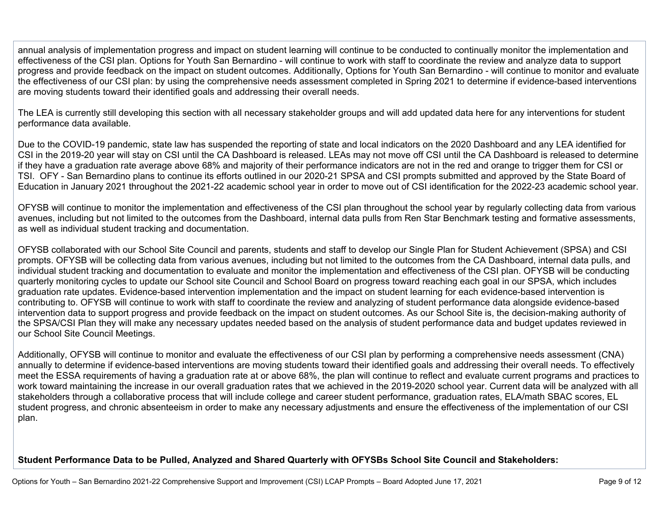annual analysis of implementation progress and impact on student learning will continue to be conducted to continually monitor the implementation and effectiveness of the CSI plan. Options for Youth San Bernardino - will continue to work with staff to coordinate the review and analyze data to support progress and provide feedback on the impact on student outcomes. Additionally, Options for Youth San Bernardino - will continue to monitor and evaluate the effectiveness of our CSI plan: by using the comprehensive needs assessment completed in Spring 2021 to determine if evidence-based interventions are moving students toward their identified goals and addressing their overall needs.

The LEA is currently still developing this section with all necessary stakeholder groups and will add updated data here for any interventions for student performance data available.

Due to the COVID-19 pandemic, state law has suspended the reporting of state and local indicators on the 2020 Dashboard and any LEA identified for CSI in the 2019-20 year will stay on CSI until the CA Dashboard is released. LEAs may not move off CSI until the CA Dashboard is released to determine if they have a graduation rate average above 68% and majority of their performance indicators are not in the red and orange to trigger them for CSI or TSI. OFY - San Bernardino plans to continue its efforts outlined in our 2020-21 SPSA and CSI prompts submitted and approved by the State Board of Education in January 2021 throughout the 2021-22 academic school year in order to move out of CSI identification for the 2022-23 academic school year.

OFYSB will continue to monitor the implementation and effectiveness of the CSI plan throughout the school year by regularly collecting data from various avenues, including but not limited to the outcomes from the Dashboard, internal data pulls from Ren Star Benchmark testing and formative assessments, as well as individual student tracking and documentation.

OFYSB collaborated with our School Site Council and parents, students and staff to develop our Single Plan for Student Achievement (SPSA) and CSI prompts. OFYSB will be collecting data from various avenues, including but not limited to the outcomes from the CA Dashboard, internal data pulls, and individual student tracking and documentation to evaluate and monitor the implementation and effectiveness of the CSI plan. OFYSB will be conducting quarterly monitoring cycles to update our School site Council and School Board on progress toward reaching each goal in our SPSA, which includes graduation rate updates. Evidence-based intervention implementation and the impact on student learning for each evidence-based intervention is contributing to. OFYSB will continue to work with staff to coordinate the review and analyzing of student performance data alongside evidence-based intervention data to support progress and provide feedback on the impact on student outcomes. As our School Site is, the decision-making authority of the SPSA/CSI Plan they will make any necessary updates needed based on the analysis of student performance data and budget updates reviewed in our School Site Council Meetings.

Additionally, OFYSB will continue to monitor and evaluate the effectiveness of our CSI plan by performing a comprehensive needs assessment (CNA) annually to determine if evidence-based interventions are moving students toward their identified goals and addressing their overall needs. To effectively meet the ESSA requirements of having a graduation rate at or above 68%, the plan will continue to reflect and evaluate current programs and practices to work toward maintaining the increase in our overall graduation rates that we achieved in the 2019-2020 school year. Current data will be analyzed with all stakeholders through a collaborative process that will include college and career student performance, graduation rates, ELA/math SBAC scores, EL student progress, and chronic absenteeism in order to make any necessary adjustments and ensure the effectiveness of the implementation of our CSI plan.

### **Student Performance Data to be Pulled, Analyzed and Shared Quarterly with OFYSBs School Site Council and Stakeholders:**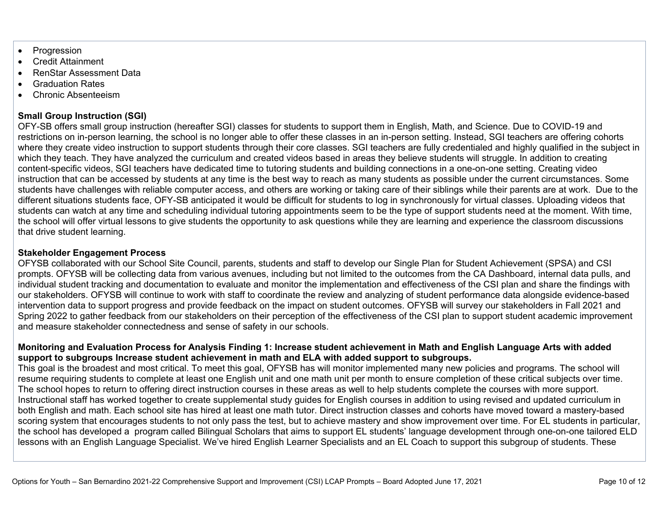- **Progression**
- Credit Attainment
- RenStar Assessment Data
- Graduation Rates
- Chronic Absenteeism

### **Small Group Instruction (SGI)**

OFY-SB offers small group instruction (hereafter SGI) classes for students to support them in English, Math, and Science. Due to COVID-19 and restrictions on in-person learning, the school is no longer able to offer these classes in an in-person setting. Instead, SGI teachers are offering cohorts where they create video instruction to support students through their core classes. SGI teachers are fully credentialed and highly qualified in the subject in which they teach. They have analyzed the curriculum and created videos based in areas they believe students will struggle. In addition to creating content-specific videos, SGI teachers have dedicated time to tutoring students and building connections in a one-on-one setting. Creating video instruction that can be accessed by students at any time is the best way to reach as many students as possible under the current circumstances. Some students have challenges with reliable computer access, and others are working or taking care of their siblings while their parents are at work. Due to the different situations students face, OFY-SB anticipated it would be difficult for students to log in synchronously for virtual classes. Uploading videos that students can watch at any time and scheduling individual tutoring appointments seem to be the type of support students need at the moment. With time, the school will offer virtual lessons to give students the opportunity to ask questions while they are learning and experience the classroom discussions that drive student learning.

#### **Stakeholder Engagement Process**

OFYSB collaborated with our School Site Council, parents, students and staff to develop our Single Plan for Student Achievement (SPSA) and CSI prompts. OFYSB will be collecting data from various avenues, including but not limited to the outcomes from the CA Dashboard, internal data pulls, and individual student tracking and documentation to evaluate and monitor the implementation and effectiveness of the CSI plan and share the findings with our stakeholders. OFYSB will continue to work with staff to coordinate the review and analyzing of student performance data alongside evidence-based intervention data to support progress and provide feedback on the impact on student outcomes. OFYSB will survey our stakeholders in Fall 2021 and Spring 2022 to gather feedback from our stakeholders on their perception of the effectiveness of the CSI plan to support student academic improvement and measure stakeholder connectedness and sense of safety in our schools.

#### **Monitoring and Evaluation Process for Analysis Finding 1: Increase student achievement in Math and English Language Arts with added support to subgroups Increase student achievement in math and ELA with added support to subgroups.**

This goal is the broadest and most critical. To meet this goal, OFYSB has will monitor implemented many new policies and programs. The school will resume requiring students to complete at least one English unit and one math unit per month to ensure completion of these critical subjects over time. The school hopes to return to offering direct instruction courses in these areas as well to help students complete the courses with more support. Instructional staff has worked together to create supplemental study guides for English courses in addition to using revised and updated curriculum in both English and math. Each school site has hired at least one math tutor. Direct instruction classes and cohorts have moved toward a mastery-based scoring system that encourages students to not only pass the test, but to achieve mastery and show improvement over time. For EL students in particular, the school has developed a program called Bilingual Scholars that aims to support EL students' language development through one-on-one tailored ELD lessons with an English Language Specialist. We've hired English Learner Specialists and an EL Coach to support this subgroup of students. These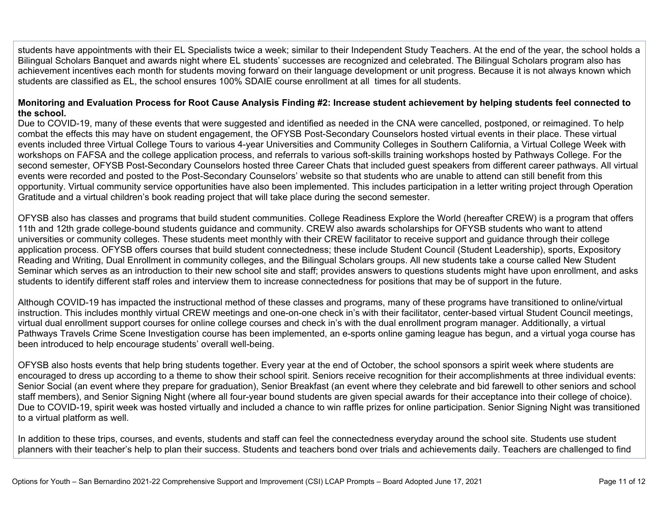students have appointments with their EL Specialists twice a week; similar to their Independent Study Teachers. At the end of the year, the school holds a Bilingual Scholars Banquet and awards night where EL students' successes are recognized and celebrated. The Bilingual Scholars program also has achievement incentives each month for students moving forward on their language development or unit progress. Because it is not always known which students are classified as EL, the school ensures 100% SDAIE course enrollment at all times for all students.

#### **Monitoring and Evaluation Process for Root Cause Analysis Finding #2: Increase student achievement by helping students feel connected to the school.**

Due to COVID-19, many of these events that were suggested and identified as needed in the CNA were cancelled, postponed, or reimagined. To help combat the effects this may have on student engagement, the OFYSB Post-Secondary Counselors hosted virtual events in their place. These virtual events included three Virtual College Tours to various 4-year Universities and Community Colleges in Southern California, a Virtual College Week with workshops on FAFSA and the college application process, and referrals to various soft-skills training workshops hosted by Pathways College. For the second semester, OFYSB Post-Secondary Counselors hosted three Career Chats that included guest speakers from different career pathways. All virtual events were recorded and posted to the Post-Secondary Counselors' website so that students who are unable to attend can still benefit from this opportunity. Virtual community service opportunities have also been implemented. This includes participation in a letter writing project through Operation Gratitude and a virtual children's book reading project that will take place during the second semester.

OFYSB also has classes and programs that build student communities. College Readiness Explore the World (hereafter CREW) is a program that offers 11th and 12th grade college-bound students guidance and community. CREW also awards scholarships for OFYSB students who want to attend universities or community colleges. These students meet monthly with their CREW facilitator to receive support and guidance through their college application process. OFYSB offers courses that build student connectedness; these include Student Council (Student Leadership), sports, Expository Reading and Writing, Dual Enrollment in community colleges, and the Bilingual Scholars groups. All new students take a course called New Student Seminar which serves as an introduction to their new school site and staff; provides answers to questions students might have upon enrollment, and asks students to identify different staff roles and interview them to increase connectedness for positions that may be of support in the future.

Although COVID-19 has impacted the instructional method of these classes and programs, many of these programs have transitioned to online/virtual instruction. This includes monthly virtual CREW meetings and one-on-one check in's with their facilitator, center-based virtual Student Council meetings, virtual dual enrollment support courses for online college courses and check in's with the dual enrollment program manager. Additionally, a virtual Pathways Travels Crime Scene Investigation course has been implemented, an e-sports online gaming league has begun, and a virtual yoga course has been introduced to help encourage students' overall well-being.

OFYSB also hosts events that help bring students together. Every year at the end of October, the school sponsors a spirit week where students are encouraged to dress up according to a theme to show their school spirit. Seniors receive recognition for their accomplishments at three individual events: Senior Social (an event where they prepare for graduation), Senior Breakfast (an event where they celebrate and bid farewell to other seniors and school staff members), and Senior Signing Night (where all four-year bound students are given special awards for their acceptance into their college of choice). Due to COVID-19, spirit week was hosted virtually and included a chance to win raffle prizes for online participation. Senior Signing Night was transitioned to a virtual platform as well.

In addition to these trips, courses, and events, students and staff can feel the connectedness everyday around the school site. Students use student planners with their teacher's help to plan their success. Students and teachers bond over trials and achievements daily. Teachers are challenged to find